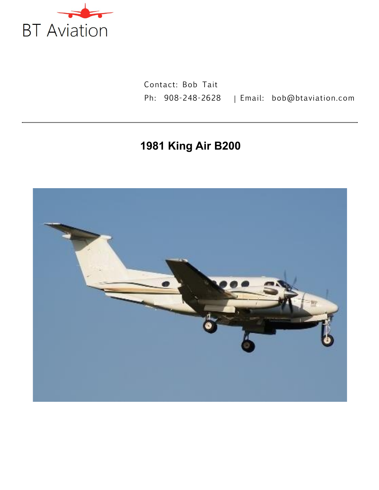

Contact: Bob Tait Ph: 908-248-2628 | Email: bob@btaviation.com

# **1981 King Air B200**

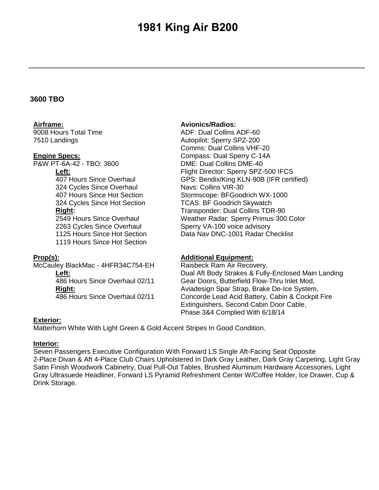#### **3600 TBO**

### **Airframe:**

9008 Hours Total Time 7510 Landings

#### **Engine Specs:**

P&W PT-6A-42 - TBO: 3600

#### **Left:**

407 Hours Since Overhaul 324 Cycles Since Overhaul 407 Hours Since Hot Section 324 Cycles Since Hot Section **Right:** 2549 Hours Since Overhaul

2263 Cycles Since Overhaul 1125 Hours Since Hot Section 1119 Hours Since Hot Section

#### **Prop(s):**

McCauley BlackMac - 4HFR34C754-EH

**Left:** 486 Hours Since Overhaul 02/11 **Right:** 486 Hours Since Overhaul 02/11

#### **Avionics/Radios:**

ADF: Dual Collins ADF-60 Autopilot: Sperry SPZ-200 Comms: Dual Collins VHF-20 Compass: Dual Sperry C-14A DME: Dual Collins DME-40 Flight Director: Sperry SPZ-500 IFCS GPS: Bendix/King KLN-90B (IFR certified) Navs: Collins VIR-30 Stormscope: BFGoodrich WX-1000 TCAS: BF Goodrich Skywatch Transponder: Dual Collins TDR-90 Weather Radar: Sperry Primus 300 Color Sperry VA-100 voice advisory Data Nav DNC-1001 Radar Checklist

#### **Additional Equipment:**

Raisbeck Ram Air Recovery, Dual Aft Body Strakes & Fully-Enclosed Main Landing Gear Doors, Butterfield Flow-Thru Inlet Mod, Aviadesign Spar Strap, Brake De-Ice System, Concorde Lead Acid Battery, Cabin & Cockpit Fire Extinguishers, Second Cabin Door Cable, Phase 3&4 Complied With 6/18/14

#### **Exterior:**

Matterhorn White With Light Green & Gold Accent Stripes In Good Condition.

### **Interior:**

Seven Passengers Executive Configuration With Forward LS Single Aft-Facing Seat Opposite 2-Place Divan & Aft 4-Place Club Chairs Upholstered In Dark Gray Leather, Dark Gray Carpeting, Light Gray Satin Finish Woodwork Cabinetry, Dual Pull-Out Tables, Brushed Aluminum Hardware Accessories, Light Gray Ultrasuede Headliner, Forward LS Pyramid Refreshment Center W/Coffee Holder, Ice Drawer, Cup & Drink Storage.